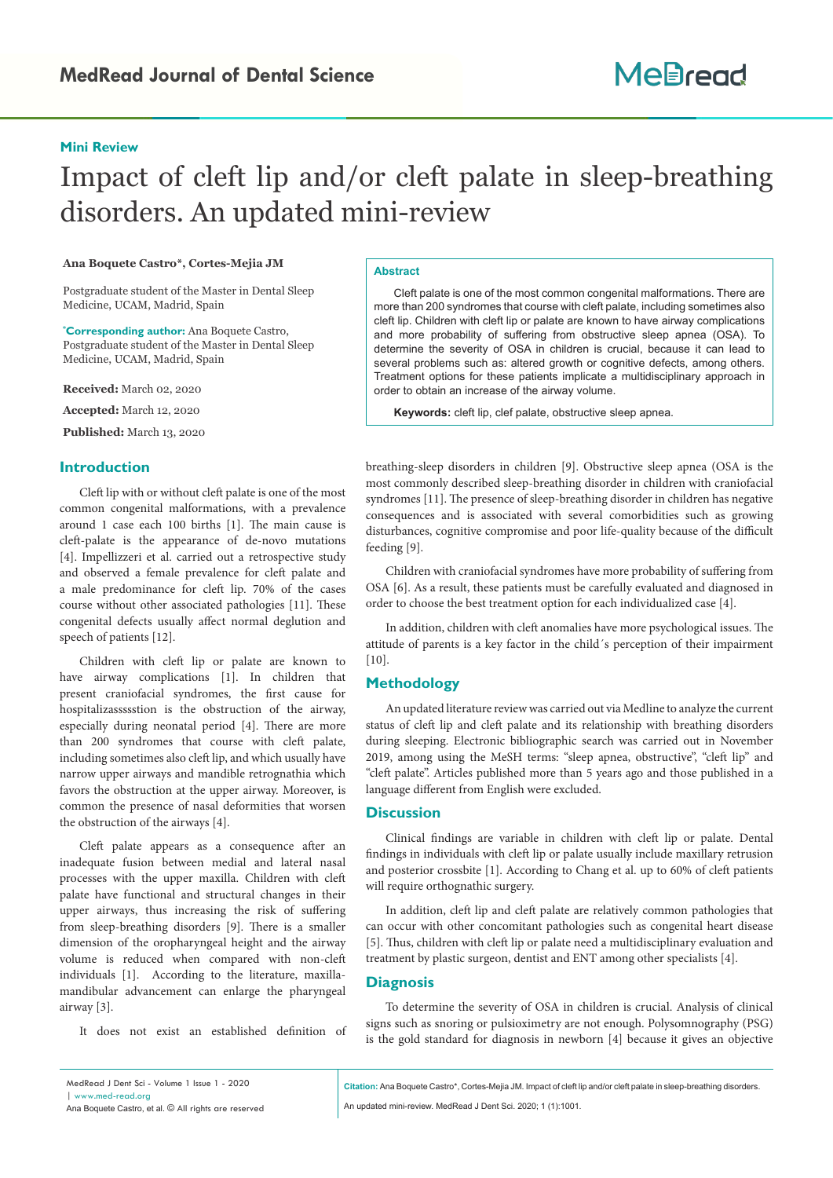## **Mini Review**

# Impact of cleft lip and/or cleft palate in sleep-breathing disorders. An updated mini-review

### **Ana Boquete Castro\*, Cortes-Mejia JM**

Postgraduate student of the Master in Dental Sleep Medicine, UCAM, Madrid, Spain

**\* Corresponding author:** Ana Boquete Castro, Postgraduate student of the Master in Dental Sleep Medicine, UCAM, Madrid, Spain

**Received:** March 02, 2020

**Accepted:** March 12, 2020

**Published:** March 13, 2020

## **Introduction**

Cleft lip with or without cleft palate is one of the most common congenital malformations, with a prevalence around 1 case each 100 births [1]. The main cause is cleft-palate is the appearance of de-novo mutations [4]. Impellizzeri et al. carried out a retrospective study and observed a female prevalence for cleft palate and a male predominance for cleft lip. 70% of the cases course without other associated pathologies [11]. These congenital defects usually affect normal deglution and speech of patients [12].

Children with cleft lip or palate are known to have airway complications [1]. In children that present craniofacial syndromes, the first cause for hospitalizassssstion is the obstruction of the airway, especially during neonatal period [4]. There are more than 200 syndromes that course with cleft palate, including sometimes also cleft lip, and which usually have narrow upper airways and mandible retrognathia which favors the obstruction at the upper airway. Moreover, is common the presence of nasal deformities that worsen the obstruction of the airways [4].

Cleft palate appears as a consequence after an inadequate fusion between medial and lateral nasal processes with the upper maxilla. Children with cleft palate have functional and structural changes in their upper airways, thus increasing the risk of suffering from sleep-breathing disorders [9]. There is a smaller dimension of the oropharyngeal height and the airway volume is reduced when compared with non-cleft individuals [1]. According to the literature, maxillamandibular advancement can enlarge the pharyngeal airway [3].

It does not exist an established definition of

#### **Abstract**

Cleft palate is one of the most common congenital malformations. There are more than 200 syndromes that course with cleft palate, including sometimes also cleft lip. Children with cleft lip or palate are known to have airway complications and more probability of suffering from obstructive sleep apnea (OSA). To determine the severity of OSA in children is crucial, because it can lead to several problems such as: altered growth or cognitive defects, among others. Treatment options for these patients implicate a multidisciplinary approach in order to obtain an increase of the airway volume.

**Keywords:** cleft lip, clef palate, obstructive sleep apnea.

breathing-sleep disorders in children [9]. Obstructive sleep apnea (OSA is the most commonly described sleep-breathing disorder in children with craniofacial syndromes [11]. The presence of sleep-breathing disorder in children has negative consequences and is associated with several comorbidities such as growing disturbances, cognitive compromise and poor life-quality because of the difficult feeding [9].

Children with craniofacial syndromes have more probability of suffering from OSA [6]. As a result, these patients must be carefully evaluated and diagnosed in order to choose the best treatment option for each individualized case [4].

In addition, children with cleft anomalies have more psychological issues. The attitude of parents is a key factor in the child´s perception of their impairment [10].

## **Methodology**

An updated literature review was carried out via Medline to analyze the current status of cleft lip and cleft palate and its relationship with breathing disorders during sleeping. Electronic bibliographic search was carried out in November 2019, among using the MeSH terms: "sleep apnea, obstructive", "cleft lip" and "cleft palate". Articles published more than 5 years ago and those published in a language different from English were excluded.

### **Discussion**

Clinical findings are variable in children with cleft lip or palate. Dental findings in individuals with cleft lip or palate usually include maxillary retrusion and posterior crossbite [1]. According to Chang et al. up to 60% of cleft patients will require orthognathic surgery.

In addition, cleft lip and cleft palate are relatively common pathologies that can occur with other concomitant pathologies such as congenital heart disease [5]. Thus, children with cleft lip or palate need a multidisciplinary evaluation and treatment by plastic surgeon, dentist and ENT among other specialists [4].

## **Diagnosis**

To determine the severity of OSA in children is crucial. Analysis of clinical signs such as snoring or pulsioximetry are not enough. Polysomnography (PSG) is the gold standard for diagnosis in newborn [4] because it gives an objective

**Citation:** Ana Boquete Castro\*, Cortes-Mejia JM. Impact of cleft lip and/or cleft palate in sleep-breathing disorders.

An updated mini-review. MedRead J Dent Sci. 2020; 1 (1):1001.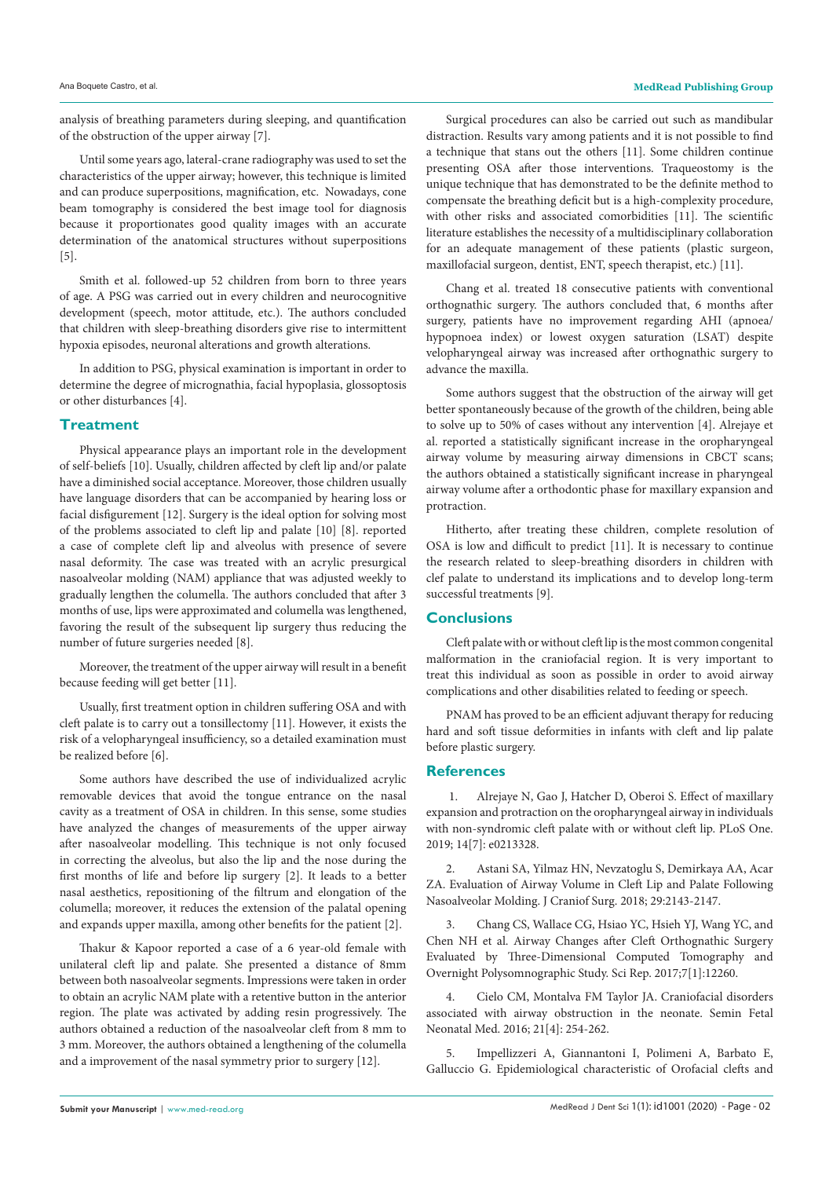analysis of breathing parameters during sleeping, and quantification of the obstruction of the upper airway [7].

Until some years ago, lateral-crane radiography was used to set the characteristics of the upper airway; however, this technique is limited and can produce superpositions, magnification, etc. Nowadays, cone beam tomography is considered the best image tool for diagnosis because it proportionates good quality images with an accurate determination of the anatomical structures without superpositions [5].

Smith et al. followed-up 52 children from born to three years of age. A PSG was carried out in every children and neurocognitive development (speech, motor attitude, etc.). The authors concluded that children with sleep-breathing disorders give rise to intermittent hypoxia episodes, neuronal alterations and growth alterations.

In addition to PSG, physical examination is important in order to determine the degree of micrognathia, facial hypoplasia, glossoptosis or other disturbances [4].

## **Treatment**

Physical appearance plays an important role in the development of self-beliefs [10]. Usually, children affected by cleft lip and/or palate have a diminished social acceptance. Moreover, those children usually have language disorders that can be accompanied by hearing loss or facial disfigurement [12]. Surgery is the ideal option for solving most of the problems associated to cleft lip and palate [10] [8]. reported a case of complete cleft lip and alveolus with presence of severe nasal deformity. The case was treated with an acrylic presurgical nasoalveolar molding (NAM) appliance that was adjusted weekly to gradually lengthen the columella. The authors concluded that after 3 months of use, lips were approximated and columella was lengthened, favoring the result of the subsequent lip surgery thus reducing the number of future surgeries needed [8].

Moreover, the treatment of the upper airway will result in a benefit because feeding will get better [11].

Usually, first treatment option in children suffering OSA and with cleft palate is to carry out a tonsillectomy [11]. However, it exists the risk of a velopharyngeal insufficiency, so a detailed examination must be realized before [6].

Some authors have described the use of individualized acrylic removable devices that avoid the tongue entrance on the nasal cavity as a treatment of OSA in children. In this sense, some studies have analyzed the changes of measurements of the upper airway after nasoalveolar modelling. This technique is not only focused in correcting the alveolus, but also the lip and the nose during the first months of life and before lip surgery [2]. It leads to a better nasal aesthetics, repositioning of the filtrum and elongation of the columella; moreover, it reduces the extension of the palatal opening and expands upper maxilla, among other benefits for the patient [2].

Thakur & Kapoor reported a case of a 6 year-old female with unilateral cleft lip and palate. She presented a distance of 8mm between both nasoalveolar segments. Impressions were taken in order to obtain an acrylic NAM plate with a retentive button in the anterior region. The plate was activated by adding resin progressively. The authors obtained a reduction of the nasoalveolar cleft from 8 mm to 3 mm. Moreover, the authors obtained a lengthening of the columella and a improvement of the nasal symmetry prior to surgery [12].

Surgical procedures can also be carried out such as mandibular distraction. Results vary among patients and it is not possible to find a technique that stans out the others [11]. Some children continue presenting OSA after those interventions. Traqueostomy is the unique technique that has demonstrated to be the definite method to compensate the breathing deficit but is a high-complexity procedure, with other risks and associated comorbidities [11]. The scientific literature establishes the necessity of a multidisciplinary collaboration for an adequate management of these patients (plastic surgeon, maxillofacial surgeon, dentist, ENT, speech therapist, etc.) [11].

Chang et al. treated 18 consecutive patients with conventional orthognathic surgery. The authors concluded that, 6 months after surgery, patients have no improvement regarding AHI (apnoea/ hypopnoea index) or lowest oxygen saturation (LSAT) despite velopharyngeal airway was increased after orthognathic surgery to advance the maxilla.

Some authors suggest that the obstruction of the airway will get better spontaneously because of the growth of the children, being able to solve up to 50% of cases without any intervention [4]. Alrejaye et al. reported a statistically significant increase in the oropharyngeal airway volume by measuring airway dimensions in CBCT scans; the authors obtained a statistically significant increase in pharyngeal airway volume after a orthodontic phase for maxillary expansion and protraction.

Hitherto, after treating these children, complete resolution of OSA is low and difficult to predict [11]. It is necessary to continue the research related to sleep-breathing disorders in children with clef palate to understand its implications and to develop long-term successful treatments [9].

## **Conclusions**

Cleft palate with or without cleft lip is the most common congenital malformation in the craniofacial region. It is very important to treat this individual as soon as possible in order to avoid airway complications and other disabilities related to feeding or speech.

PNAM has proved to be an efficient adjuvant therapy for reducing hard and soft tissue deformities in infants with cleft and lip palate before plastic surgery.

## **References**

 1. Alrejaye N, Gao J, Hatcher D, Oberoi S. Effect of maxillary expansion and protraction on the oropharyngeal airway in individuals with non-syndromic cleft palate with or without cleft lip. PLoS One. 2019; 14[7]: e0213328.

2. Astani SA, Yilmaz HN, Nevzatoglu S, Demirkaya AA, Acar ZA. Evaluation of Airway Volume in Cleft Lip and Palate Following Nasoalveolar Molding. J Craniof Surg. 2018; 29:2143-2147.

3. Chang CS, Wallace CG, Hsiao YC, Hsieh YJ, Wang YC, and Chen NH et al. Airway Changes after Cleft Orthognathic Surgery Evaluated by Three-Dimensional Computed Tomography and Overnight Polysomnographic Study. Sci Rep. 2017;7[1]:12260.

4. Cielo CM, Montalva FM Taylor JA. Craniofacial disorders associated with airway obstruction in the neonate. Semin Fetal Neonatal Med. 2016; 21[4]: 254-262.

5. Impellizzeri A, Giannantoni I, Polimeni A, Barbato E, Galluccio G. Epidemiological characteristic of Orofacial clefts and